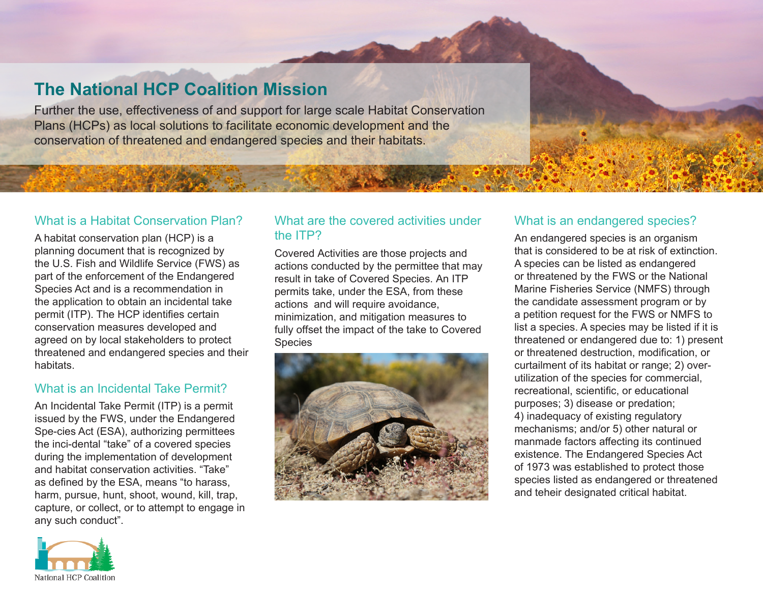# **The National HCP Coalition Mission**

Further the use, effectiveness of and support for large scale Habitat Conservation Plans (HCPs) as local solutions to facilitate economic development and the conservation of threatened and endangered species and their habitats.

#### What is a Habitat Conservation Plan?

A habitat conservation plan (HCP) is a planning document that is recognized by the U.S. Fish and Wildlife Service (FWS) as part of the enforcement of the Endangered Species Act and is a recommendation in the application to obtain an incidental take permit (ITP). The HCP identifies certain conservation measures developed and agreed on by local stakeholders to protect threatened and endangered species and their habitats.

#### What is an Incidental Take Permit?

An Incidental Take Permit (ITP) is a permit issued by the FWS, under the Endangered Spe-cies Act (ESA), authorizing permittees the inci-dental "take" of a covered species during the implementation of development and habitat conservation activities. "Take" as defined by the ESA, means "to harass, harm, pursue, hunt, shoot, wound, kill, trap, capture, or collect, or to attempt to engage in any such conduct".

### What are the covered activities under the ITP?

Covered Activities are those projects and actions conducted by the permittee that may result in take of Covered Species. An ITP permits take, under the ESA, from these actions and will require avoidance, minimization, and mitigation measures to fully offset the impact of the take to Covered Species



#### What is an endangered species?

An endangered species is an organism that is considered to be at risk of extinction. A species can be listed as endangered or threatened by the FWS or the National Marine Fisheries Service (NMFS) through the candidate assessment program or by a petition request for the FWS or NMFS to list a species. A species may be listed if it is threatened or endangered due to: 1) present or threatened destruction, modification, or curtailment of its habitat or range; 2) overutilization of the species for commercial, recreational, scientific, or educational purposes; 3) disease or predation; 4) inadequacy of existing regulatory mechanisms; and/or 5) other natural or manmade factors affecting its continued existence. The Endangered Species Act of 1973 was established to protect those species listed as endangered or threatened and teheir designated critical habitat.